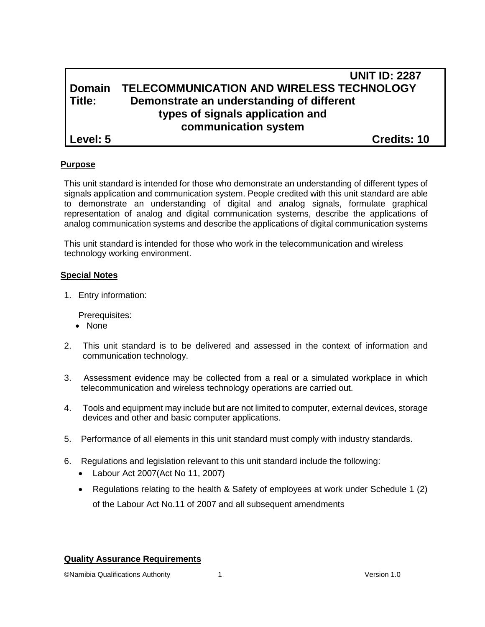# **UNIT ID: 2287 Domain TELECOMMUNICATION AND WIRELESS TECHNOLOGY Title: Demonstrate an understanding of different types of signals application and communication system**

**Level: 5 Credits: 10**

### **Purpose**

This unit standard is intended for those who demonstrate an understanding of different types of signals application and communication system. People credited with this unit standard are able to demonstrate an understanding of digital and analog signals, formulate graphical representation of analog and digital communication systems, describe the applications of analog communication systems and describe the applications of digital communication systems

This unit standard is intended for those who work in the telecommunication and wireless technology working environment.

#### **Special Notes**

1. Entry information:

Prerequisites:

- None
- 2. This unit standard is to be delivered and assessed in the context of information and communication technology.
- 3. Assessment evidence may be collected from a real or a simulated workplace in which telecommunication and wireless technology operations are carried out.
- 4. Tools and equipment may include but are not limited to computer, external devices, storage devices and other and basic computer applications.
- 5. Performance of all elements in this unit standard must comply with industry standards.
- 6. Regulations and legislation relevant to this unit standard include the following:
	- Labour Act 2007(Act No 11, 2007)
	- Regulations relating to the health & Safety of employees at work under Schedule 1 (2) of the Labour Act No.11 of 2007 and all subsequent amendments

#### **Quality Assurance Requirements**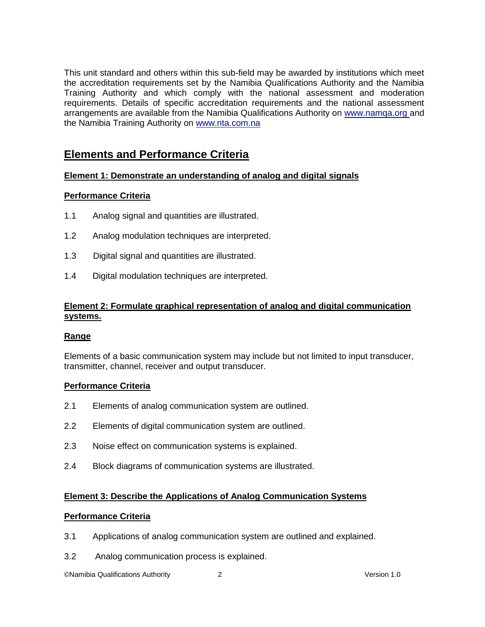This unit standard and others within this sub-field may be awarded by institutions which meet the accreditation requirements set by the Namibia Qualifications Authority and the Namibia Training Authority and which comply with the national assessment and moderation requirements. Details of specific accreditation requirements and the national assessment arrangements are available from the Namibia Qualifications Authority on [www.namqa.org a](http://www.namqa.org/)nd the Namibia Training Authority on [www.nta.com.na](http://www.nta.com.na/)

## **Elements and Performance Criteria**

### **Element 1: Demonstrate an understanding of analog and digital signals**

#### **Performance Criteria**

- 1.1 Analog signal and quantities are illustrated.
- 1.2 Analog modulation techniques are interpreted.
- 1.3 Digital signal and quantities are illustrated.
- 1.4 Digital modulation techniques are interpreted.

#### **Element 2: Formulate graphical representation of analog and digital communication systems.**

#### **Range**

Elements of a basic communication system may include but not limited to input transducer, transmitter, channel, receiver and output transducer.

#### **Performance Criteria**

- 2.1 Elements of analog communication system are outlined.
- 2.2 Elements of digital communication system are outlined.
- 2.3 Noise effect on communication systems is explained.
- 2.4 Block diagrams of communication systems are illustrated.

#### **Element 3: Describe the Applications of Analog Communication Systems**

#### **Performance Criteria**

- 3.1 Applications of analog communication system are outlined and explained.
- 3.2 Analog communication process is explained.